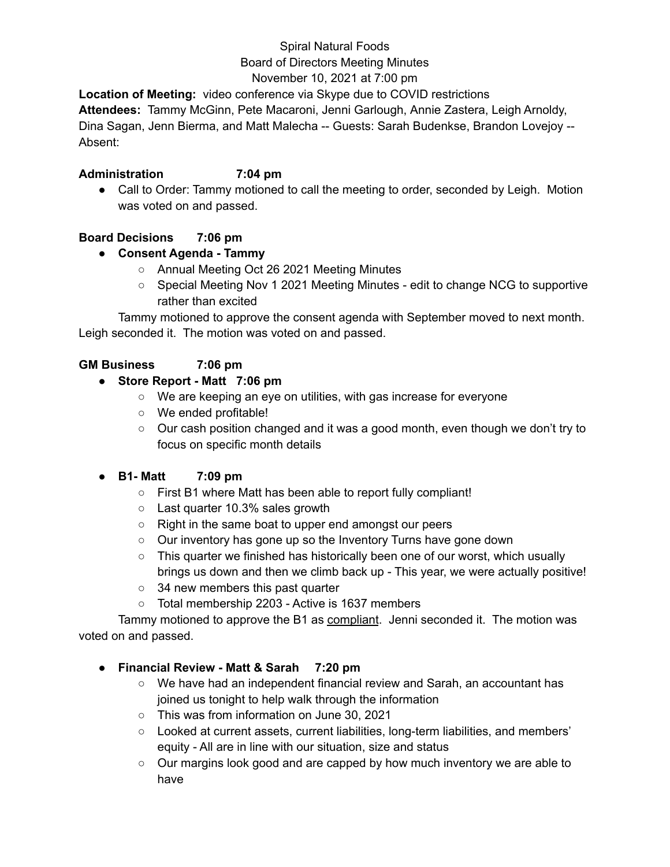# Spiral Natural Foods

# Board of Directors Meeting Minutes

November 10, 2021 at 7:00 pm

**Location of Meeting:** video conference via Skype due to COVID restrictions

**Attendees:** Tammy McGinn, Pete Macaroni, Jenni Garlough, Annie Zastera, Leigh Arnoldy,

Dina Sagan, Jenn Bierma, and Matt Malecha -- Guests: Sarah Budenkse, Brandon Lovejoy -- Absent:

#### **Administration 7:04 pm**

• Call to Order: Tammy motioned to call the meeting to order, seconded by Leigh. Motion was voted on and passed.

# **Board Decisions 7:06 pm**

# **● Consent Agenda - Tammy**

- Annual Meeting Oct 26 2021 Meeting Minutes
- Special Meeting Nov 1 2021 Meeting Minutes edit to change NCG to supportive rather than excited

Tammy motioned to approve the consent agenda with September moved to next month. Leigh seconded it. The motion was voted on and passed.

# **GM Business 7:06 pm**

#### **● Store Report - Matt 7:06 pm**

- We are keeping an eye on utilities, with gas increase for everyone
- We ended profitable!
- $\circ$  Our cash position changed and it was a good month, even though we don't try to focus on specific month details

# **● B1- Matt 7:09 pm**

- First B1 where Matt has been able to report fully compliant!
- Last quarter 10.3% sales growth
- Right in the same boat to upper end amongst our peers
- Our inventory has gone up so the Inventory Turns have gone down
- $\circ$  This quarter we finished has historically been one of our worst, which usually brings us down and then we climb back up - This year, we were actually positive!
- 34 new members this past quarter
- Total membership 2203 Active is 1637 members

Tammy motioned to approve the B1 as compliant. Jenni seconded it. The motion was voted on and passed.

# **● Financial Review - Matt & Sarah 7:20 pm**

- We have had an independent financial review and Sarah, an accountant has joined us tonight to help walk through the information
- This was from information on June 30, 2021
- Looked at current assets, current liabilities, long-term liabilities, and members' equity - All are in line with our situation, size and status
- Our margins look good and are capped by how much inventory we are able to have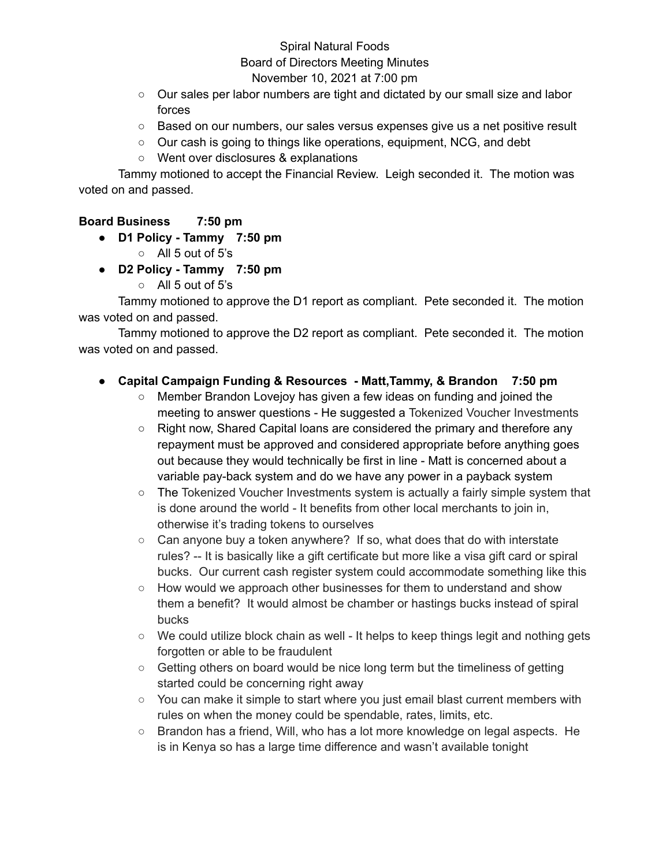#### Spiral Natural Foods Board of Directors Meeting Minutes November 10, 2021 at 7:00 pm

- Our sales per labor numbers are tight and dictated by our small size and labor forces
- Based on our numbers, our sales versus expenses give us a net positive result
- Our cash is going to things like operations, equipment, NCG, and debt
- Went over disclosures & explanations

Tammy motioned to accept the Financial Review. Leigh seconded it. The motion was voted on and passed.

#### **Board Business 7:50 pm**

- **● D1 Policy - Tammy 7:50 pm**
	- All 5 out of 5's
- **● D2 Policy - Tammy 7:50 pm**
	- All 5 out of 5's

Tammy motioned to approve the D1 report as compliant. Pete seconded it. The motion was voted on and passed.

Tammy motioned to approve the D2 report as compliant. Pete seconded it. The motion was voted on and passed.

#### **● Capital Campaign Funding & Resources - Matt,Tammy, & Brandon 7:50 pm**

- Member Brandon Lovejoy has given a few ideas on funding and joined the meeting to answer questions - He suggested a Tokenized Voucher Investments
- Right now, Shared Capital loans are considered the primary and therefore any repayment must be approved and considered appropriate before anything goes out because they would technically be first in line - Matt is concerned about a variable pay-back system and do we have any power in a payback system
- $\circ$  The Tokenized Voucher Investments system is actually a fairly simple system that is done around the world - It benefits from other local merchants to join in, otherwise it's trading tokens to ourselves
- $\circ$  Can anyone buy a token anywhere? If so, what does that do with interstate rules? -- It is basically like a gift certificate but more like a visa gift card or spiral bucks. Our current cash register system could accommodate something like this
- How would we approach other businesses for them to understand and show them a benefit? It would almost be chamber or hastings bucks instead of spiral bucks
- $\circ$  We could utilize block chain as well It helps to keep things legit and nothing gets forgotten or able to be fraudulent
- Getting others on board would be nice long term but the timeliness of getting started could be concerning right away
- You can make it simple to start where you just email blast current members with rules on when the money could be spendable, rates, limits, etc.
- Brandon has a friend, Will, who has a lot more knowledge on legal aspects. He is in Kenya so has a large time difference and wasn't available tonight